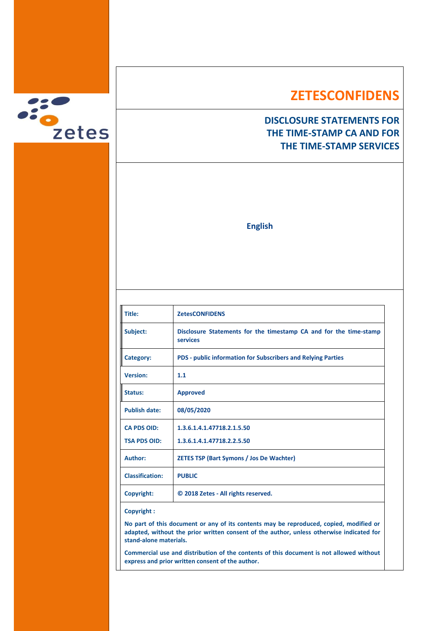

## **ZETESCONFIDENS**

## **DISCLOSURE STATEMENTS FOR THE TIME-STAMP CA AND FOR THE TIME-STAMP SERVICES**

**English**

| <b>ZetesCONFIDENS</b>                                                         |
|-------------------------------------------------------------------------------|
| Disclosure Statements for the timestamp CA and for the time-stamp<br>services |
| <b>PDS - public information for Subscribers and Relying Parties</b>           |
| 1.1                                                                           |
| <b>Approved</b>                                                               |
| 08/05/2020                                                                    |
| 1.3.6.1.4.1.47718.2.1.5.50                                                    |
| 1.3.6.1.4.1.47718.2.2.5.50                                                    |
| <b>ZETES TSP (Bart Symons / Jos De Wachter)</b>                               |
| <b>PUBLIC</b>                                                                 |
| © 2018 Zetes - All rights reserved.                                           |
|                                                                               |

### **Copyright :**

**No part of this document or any of its contents may be reproduced, copied, modified or adapted, without the prior written consent of the author, unless otherwise indicated for stand-alone materials.**

**Commercial use and distribution of the contents of this document is not allowed without express and prior written consent of the author.**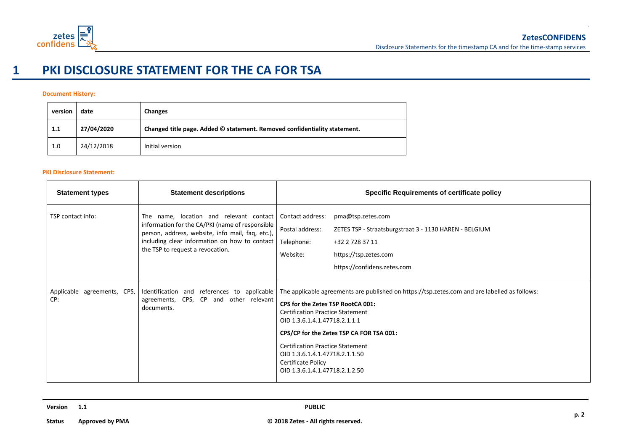

# **1 PKI DISCLOSURE STATEMENT FOR THE CA FOR TSA**

### **Document History:**

| version | date       | Changes                                                                   |
|---------|------------|---------------------------------------------------------------------------|
| 1.1     | 27/04/2020 | Changed title page. Added © statement. Removed confidentiality statement. |
| 1.0     | 24/12/2018 | Initial version                                                           |

#### **PKI Disclosure Statement:**

| <b>Statement types</b>             | <b>Statement descriptions</b>                                                                                                                                                                                                       | Specific Requirements of certificate policy                                                                                                                                                                                                                                                                                                                                                            |
|------------------------------------|-------------------------------------------------------------------------------------------------------------------------------------------------------------------------------------------------------------------------------------|--------------------------------------------------------------------------------------------------------------------------------------------------------------------------------------------------------------------------------------------------------------------------------------------------------------------------------------------------------------------------------------------------------|
| TSP contact info:                  | The name, location and relevant contact<br>information for the CA/PKI (name of responsible<br>person, address, website, info mail, faq, etc.),<br>including clear information on how to contact<br>the TSP to request a revocation. | Contact address:<br>pma@tsp.zetes.com<br>Postal address:<br>ZETES TSP - Straatsburgstraat 3 - 1130 HAREN - BELGIUM<br>Telephone:<br>+32 2 728 37 11<br>https://tsp.zetes.com<br>Website:<br>https://confidens.zetes.com                                                                                                                                                                                |
| Applicable agreements, CPS,<br>CP: | Identification and references to applicable  <br>agreements, CPS, CP and other relevant<br>documents.                                                                                                                               | The applicable agreements are published on https://tsp.zetes.com and are labelled as follows:<br>CPS for the Zetes TSP RootCA 001:<br><b>Certification Practice Statement</b><br>OID 1.3.6.1.4.1.47718.2.1.1.1<br>CPS/CP for the Zetes TSP CA FOR TSA 001:<br><b>Certification Practice Statement</b><br>OID 1.3.6.1.4.1.47718.2.1.1.50<br><b>Certificate Policy</b><br>OID 1.3.6.1.4.1.47718.2.1.2.50 |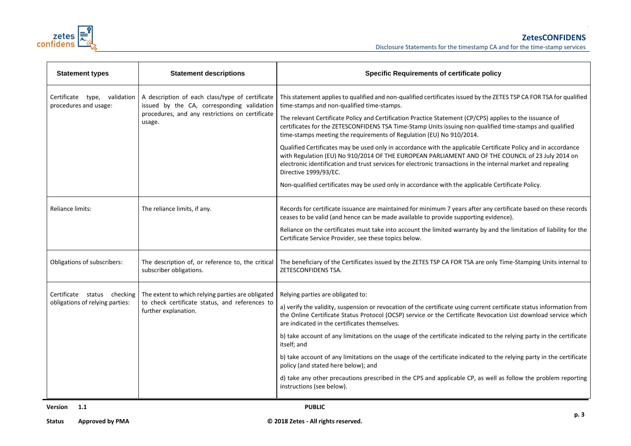

Disclosure Statements for the timestamp CA and for the time-stamp services

| <b>Statement types</b>                                | <b>Statement descriptions</b>                                                                 | <b>Specific Requirements of certificate policy</b>                                                                                                                                                                                                                                                                                                            |
|-------------------------------------------------------|-----------------------------------------------------------------------------------------------|---------------------------------------------------------------------------------------------------------------------------------------------------------------------------------------------------------------------------------------------------------------------------------------------------------------------------------------------------------------|
| Certificate type, validation<br>procedures and usage: | A description of each class/type of certificate<br>issued by the CA, corresponding validation | This statement applies to qualified and non-qualified certificates issued by the ZETES TSP CA FOR TSA for qualified<br>time-stamps and non-qualified time-stamps.                                                                                                                                                                                             |
|                                                       | procedures, and any restrictions on certificate<br>usage.                                     | The relevant Certificate Policy and Certification Practice Statement (CP/CPS) applies to the issuance of<br>certificates for the ZETESCONFIDENS TSA Time-Stamp Units issuing non-qualified time-stamps and qualified<br>time-stamps meeting the requirements of Regulation (EU) No 910/2014.                                                                  |
|                                                       |                                                                                               | Qualified Certificates may be used only in accordance with the applicable Certificate Policy and in accordance<br>with Regulation (EU) No 910/2014 OF THE EUROPEAN PARLIAMENT AND OF THE COUNCIL of 23 July 2014 on<br>electronic identification and trust services for electronic transactions in the internal market and repealing<br>Directive 1999/93/EC. |
|                                                       |                                                                                               | Non-qualified certificates may be used only in accordance with the applicable Certificate Policy.                                                                                                                                                                                                                                                             |
| Reliance limits:                                      | The reliance limits, if any.                                                                  | Records for certificate issuance are maintained for minimum 7 years after any certificate based on these records<br>ceases to be valid (and hence can be made available to provide supporting evidence).                                                                                                                                                      |
|                                                       |                                                                                               | Reliance on the certificates must take into account the limited warranty by and the limitation of liability for the<br>Certificate Service Provider, see these topics below.                                                                                                                                                                                  |
| Obligations of subscribers:                           | The description of, or reference to, the critical<br>subscriber obligations.                  | The beneficiary of the Certificates issued by the ZETES TSP CA FOR TSA are only Time-Stamping Units internal to<br>ZETESCONFIDENS TSA.                                                                                                                                                                                                                        |
| Certificate status checking                           | The extent to which relying parties are obligated                                             | Relying parties are obligated to:                                                                                                                                                                                                                                                                                                                             |
| obligations of relying parties:                       | to check certificate status, and references to<br>further explanation.                        | a) verify the validity, suspension or revocation of the certificate using current certificate status information from<br>the Online Certificate Status Protocol (OCSP) service or the Certificate Revocation List download service which<br>are indicated in the certificates themselves.                                                                     |
|                                                       |                                                                                               | b) take account of any limitations on the usage of the certificate indicated to the relying party in the certificate<br>itself; and                                                                                                                                                                                                                           |
|                                                       |                                                                                               | b) take account of any limitations on the usage of the certificate indicated to the relying party in the certificate<br>policy (and stated here below); and                                                                                                                                                                                                   |
|                                                       |                                                                                               | d) take any other precautions prescribed in the CPS and applicable CP, as well as follow the problem reporting<br>instructions (see below).                                                                                                                                                                                                                   |

**Version 1.1 PUBLIC**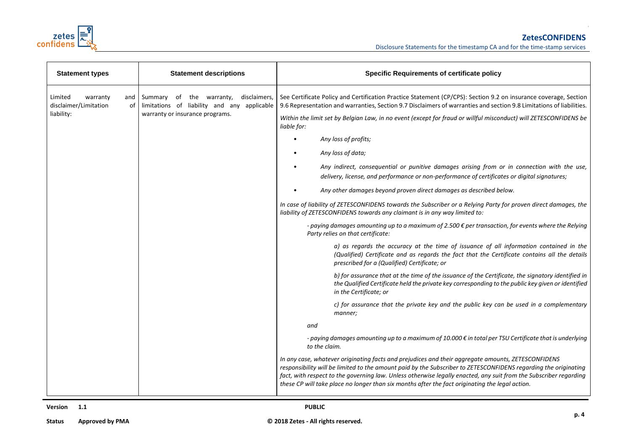

| <b>Statement types</b>                                                  | <b>Statement descriptions</b>                                                                                              | <b>Specific Requirements of certificate policy</b>                                                                                                                                                                                                                                                                                                                                                                                                                                                                                                                                                                                                                                                                                                                                                                                                                                                                                                                                                                                                                                                                                                                                                                                                                                                                                                                                                                                                                                                        |  |
|-------------------------------------------------------------------------|----------------------------------------------------------------------------------------------------------------------------|-----------------------------------------------------------------------------------------------------------------------------------------------------------------------------------------------------------------------------------------------------------------------------------------------------------------------------------------------------------------------------------------------------------------------------------------------------------------------------------------------------------------------------------------------------------------------------------------------------------------------------------------------------------------------------------------------------------------------------------------------------------------------------------------------------------------------------------------------------------------------------------------------------------------------------------------------------------------------------------------------------------------------------------------------------------------------------------------------------------------------------------------------------------------------------------------------------------------------------------------------------------------------------------------------------------------------------------------------------------------------------------------------------------------------------------------------------------------------------------------------------------|--|
| Limited<br>warranty<br>and<br>disclaimer/Limitation<br>of<br>liability: | disclaimers,<br>Summary of the warranty,<br>limitations of liability and any applicable<br>warranty or insurance programs. | See Certificate Policy and Certification Practice Statement (CP/CPS): Section 9.2 on insurance coverage, Section<br>9.6 Representation and warranties, Section 9.7 Disclaimers of warranties and section 9.8 Limitations of liabilities.<br>Within the limit set by Belgian Law, in no event (except for fraud or willful misconduct) will ZETESCONFIDENS be<br>liable for:<br>Any loss of profits;<br>Any loss of data;<br>Any indirect, consequential or punitive damages arising from or in connection with the use,<br>delivery, license, and performance or non-performance of certificates or digital signatures;<br>Any other damages beyond proven direct damages as described below.<br>In case of liability of ZETESCONFIDENS towards the Subscriber or a Relying Party for proven direct damages, the<br>liability of ZETESCONFIDENS towards any claimant is in any way limited to:<br>- paying damages amounting up to a maximum of 2.500 $\epsilon$ per transaction, for events where the Relying<br>Party relies on that certificate:<br>a) as regards the accuracy at the time of issuance of all information contained in the<br>(Qualified) Certificate and as regards the fact that the Certificate contains all the details<br>prescribed for a (Qualified) Certificate; or<br>b) for assurance that at the time of the issuance of the Certificate, the signatory identified in<br>the Qualified Certificate held the private key corresponding to the public key given or identified |  |
|                                                                         |                                                                                                                            | in the Certificate; or<br>c) for assurance that the private key and the public key can be used in a complementary<br>manner;<br>and                                                                                                                                                                                                                                                                                                                                                                                                                                                                                                                                                                                                                                                                                                                                                                                                                                                                                                                                                                                                                                                                                                                                                                                                                                                                                                                                                                       |  |
|                                                                         |                                                                                                                            |                                                                                                                                                                                                                                                                                                                                                                                                                                                                                                                                                                                                                                                                                                                                                                                                                                                                                                                                                                                                                                                                                                                                                                                                                                                                                                                                                                                                                                                                                                           |  |
|                                                                         |                                                                                                                            | - paying damages amounting up to a maximum of 10.000 € in total per TSU Certificate that is underlying<br>to the claim.                                                                                                                                                                                                                                                                                                                                                                                                                                                                                                                                                                                                                                                                                                                                                                                                                                                                                                                                                                                                                                                                                                                                                                                                                                                                                                                                                                                   |  |
|                                                                         |                                                                                                                            | In any case, whatever originating facts and prejudices and their aggregate amounts, ZETESCONFIDENS<br>responsibility will be limited to the amount paid by the Subscriber to ZETESCONFIDENS regarding the originating<br>fact, with respect to the governing law. Unless otherwise legally enacted, any suit from the Subscriber regarding<br>these CP will take place no longer than six months after the fact originating the legal action.                                                                                                                                                                                                                                                                                                                                                                                                                                                                                                                                                                                                                                                                                                                                                                                                                                                                                                                                                                                                                                                             |  |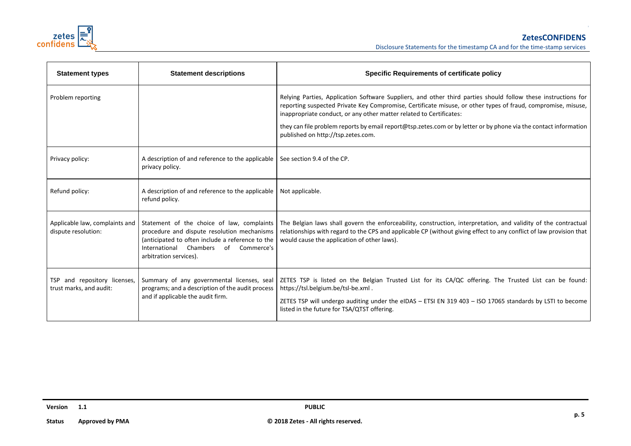

| <b>Statement types</b>                                  | <b>Statement descriptions</b>                                                                                                                                                                                      | <b>Specific Requirements of certificate policy</b>                                                                                                                                                                                                                                                                                                                                                                                                             |
|---------------------------------------------------------|--------------------------------------------------------------------------------------------------------------------------------------------------------------------------------------------------------------------|----------------------------------------------------------------------------------------------------------------------------------------------------------------------------------------------------------------------------------------------------------------------------------------------------------------------------------------------------------------------------------------------------------------------------------------------------------------|
| Problem reporting                                       |                                                                                                                                                                                                                    | Relying Parties, Application Software Suppliers, and other third parties should follow these instructions for<br>reporting suspected Private Key Compromise, Certificate misuse, or other types of fraud, compromise, misuse,<br>inappropriate conduct, or any other matter related to Certificates:<br>they can file problem reports by email report@tsp.zetes.com or by letter or by phone via the contact information<br>published on http://tsp.zetes.com. |
| Privacy policy:                                         | A description of and reference to the applicable<br>privacy policy.                                                                                                                                                | See section 9.4 of the CP.                                                                                                                                                                                                                                                                                                                                                                                                                                     |
| Refund policy:                                          | A description of and reference to the applicable<br>refund policy.                                                                                                                                                 | Not applicable.                                                                                                                                                                                                                                                                                                                                                                                                                                                |
| Applicable law, complaints and<br>dispute resolution:   | Statement of the choice of law, complaints<br>procedure and dispute resolution mechanisms<br>(anticipated to often include a reference to the<br>International Chambers of<br>Commerce's<br>arbitration services). | The Belgian laws shall govern the enforceability, construction, interpretation, and validity of the contractual<br>relationships with regard to the CPS and applicable CP (without giving effect to any conflict of law provision that<br>would cause the application of other laws).                                                                                                                                                                          |
| TSP and repository licenses,<br>trust marks, and audit: | Summary of any governmental licenses, seal<br>programs; and a description of the audit process<br>and if applicable the audit firm.                                                                                | ZETES TSP is listed on the Belgian Trusted List for its CA/QC offering. The Trusted List can be found:<br>https://tsl.belgium.be/tsl-be.xml.<br>ZETES TSP will undergo auditing under the eIDAS - ETSI EN 319 403 - ISO 17065 standards by LSTI to become<br>listed in the future for TSA/QTST offering.                                                                                                                                                       |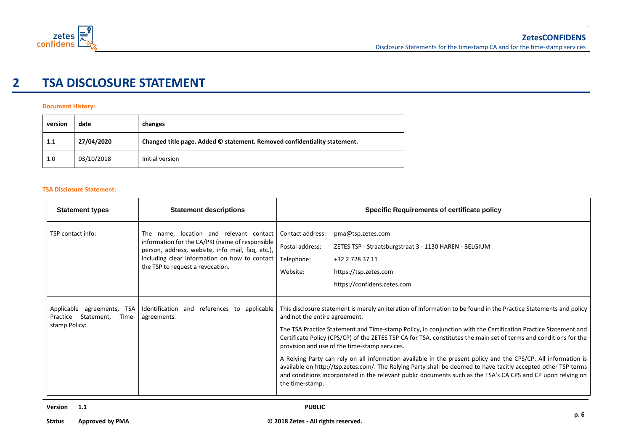

## **2 TSA DISCLOSURE STATEMENT**

### **Document History:**

| version | date       | changes                                                                   |
|---------|------------|---------------------------------------------------------------------------|
| 1.1     | 27/04/2020 | Changed title page. Added © statement. Removed confidentiality statement. |
| 1.0     | 03/10/2018 | Initial version                                                           |

#### **TSA Disclosure Statement:**

| <b>Statement types</b>                                                            | <b>Statement descriptions</b>                                                                                                                                                                                                       | <b>Specific Requirements of certificate policy</b>                                                                                                                                                                                                                                                                                                                                                                                                                                                                                                                                                                                                                                                                                                                                                                |
|-----------------------------------------------------------------------------------|-------------------------------------------------------------------------------------------------------------------------------------------------------------------------------------------------------------------------------------|-------------------------------------------------------------------------------------------------------------------------------------------------------------------------------------------------------------------------------------------------------------------------------------------------------------------------------------------------------------------------------------------------------------------------------------------------------------------------------------------------------------------------------------------------------------------------------------------------------------------------------------------------------------------------------------------------------------------------------------------------------------------------------------------------------------------|
| TSP contact info:                                                                 | The name, location and relevant contact<br>information for the CA/PKI (name of responsible<br>person, address, website, info mail, faq, etc.),<br>including clear information on how to contact<br>the TSP to request a revocation. | Contact address:<br>pma@tsp.zetes.com<br>Postal address:<br>ZETES TSP - Straatsburgstraat 3 - 1130 HAREN - BELGIUM<br>Telephone:<br>+32 2 728 37 11<br>Website:<br>https://tsp.zetes.com<br>https://confidens.zetes.com                                                                                                                                                                                                                                                                                                                                                                                                                                                                                                                                                                                           |
| Applicable<br>agreements, TSA<br>Statement,<br>Practice<br>Time-<br>stamp Policy: | Identification and references to applicable<br>agreements.                                                                                                                                                                          | This disclosure statement is merely an iteration of information to be found in the Practice Statements and policy<br>and not the entire agreement.<br>The TSA Practice Statement and Time-stamp Policy, in conjunction with the Certification Practice Statement and<br>Certificate Policy (CPS/CP) of the ZETES TSP CA for TSA, constitutes the main set of terms and conditions for the<br>provision and use of the time-stamp services.<br>A Relying Party can rely on all information available in the present policy and the CPS/CP. All information is<br>available on http://tsp.zetes.com/. The Relying Party shall be deemed to have tacitly accepted other TSP terms<br>and conditions incorporated in the relevant public documents such as the TSA's CA CPS and CP upon relying on<br>the time-stamp. |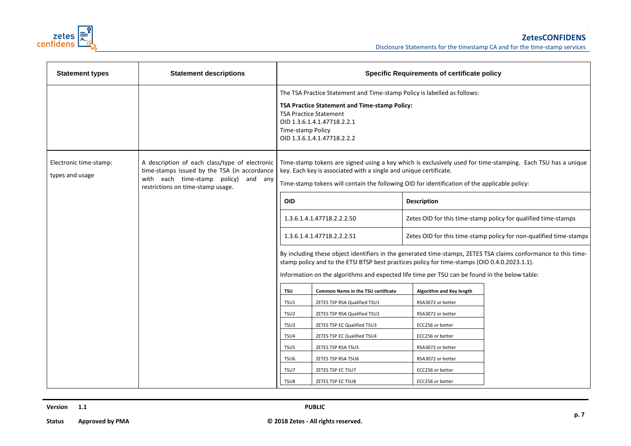

| <b>Statement types</b>                    | <b>Statement descriptions</b>                                                                                                                                               | <b>Specific Requirements of certificate policy</b>                                                                                                                                                                                                                                                               |                                                                                                                                                                                                                          |                                                                |                                                                    |
|-------------------------------------------|-----------------------------------------------------------------------------------------------------------------------------------------------------------------------------|------------------------------------------------------------------------------------------------------------------------------------------------------------------------------------------------------------------------------------------------------------------------------------------------------------------|--------------------------------------------------------------------------------------------------------------------------------------------------------------------------------------------------------------------------|----------------------------------------------------------------|--------------------------------------------------------------------|
|                                           |                                                                                                                                                                             | Time-stamp Policy                                                                                                                                                                                                                                                                                                | The TSA Practice Statement and Time-stamp Policy is labelled as follows:<br>TSA Practice Statement and Time-stamp Policy:<br><b>TSA Practice Statement</b><br>OID 1.3.6.1.4.1.47718.2.2.1<br>OID 1.3.6.1.4.1.47718.2.2.2 |                                                                |                                                                    |
| Electronic time-stamp:<br>types and usage | A description of each class/type of electronic<br>time-stamps issued by the TSA (in accordance<br>with each time-stamp policy) and any<br>restrictions on time-stamp usage. | Time-stamp tokens are signed using a key which is exclusively used for time-stamping. Each TSU has a unique<br>key. Each key is associated with a single and unique certificate.<br>Time-stamp tokens will contain the following OID for identification of the applicable policy:                                |                                                                                                                                                                                                                          |                                                                |                                                                    |
|                                           |                                                                                                                                                                             | <b>OID</b>                                                                                                                                                                                                                                                                                                       |                                                                                                                                                                                                                          | <b>Description</b>                                             |                                                                    |
|                                           |                                                                                                                                                                             | 1.3.6.1.4.1.47718.2.2.2.50                                                                                                                                                                                                                                                                                       |                                                                                                                                                                                                                          | Zetes OID for this time-stamp policy for qualified time-stamps |                                                                    |
|                                           |                                                                                                                                                                             |                                                                                                                                                                                                                                                                                                                  | 1.3.6.1.4.1.47718.2.2.2.51                                                                                                                                                                                               |                                                                | Zetes OID for this time-stamp policy for non-qualified time-stamps |
|                                           |                                                                                                                                                                             | By including these object identifiers in the generated time-stamps, ZETES TSA claims conformance to this time-<br>stamp policy and to the ETSI BTSP best practices policy for time-stamps (OID 0.4.0.2023.1.1).<br>Information on the algorithms and expected life time per TSU can be found in the below table: |                                                                                                                                                                                                                          |                                                                |                                                                    |
|                                           |                                                                                                                                                                             | <b>TSU</b><br><b>Common Name in the TSU certificate</b>                                                                                                                                                                                                                                                          |                                                                                                                                                                                                                          | Algorithm and Key length                                       |                                                                    |
|                                           |                                                                                                                                                                             | TSU1                                                                                                                                                                                                                                                                                                             | ZETES TSP RSA Qualified TSU1                                                                                                                                                                                             | RSA3072 or better                                              |                                                                    |
|                                           |                                                                                                                                                                             | TSU <sub>2</sub>                                                                                                                                                                                                                                                                                                 | ZETES TSP RSA Qualified TSU2                                                                                                                                                                                             | RSA3072 or better                                              |                                                                    |
|                                           |                                                                                                                                                                             | TSU3                                                                                                                                                                                                                                                                                                             | ZETES TSP EC Qualified TSU3                                                                                                                                                                                              | ECC256 or better                                               |                                                                    |
|                                           |                                                                                                                                                                             | TSU4                                                                                                                                                                                                                                                                                                             | ZETES TSP EC Qualified TSU4                                                                                                                                                                                              | ECC256 or better                                               |                                                                    |
|                                           |                                                                                                                                                                             | TSU5                                                                                                                                                                                                                                                                                                             | ZETES TSP RSA TSU5                                                                                                                                                                                                       | RSA3072 or better                                              |                                                                    |
|                                           |                                                                                                                                                                             | TSU <sub>6</sub>                                                                                                                                                                                                                                                                                                 | ZETES TSP RSA TSU6                                                                                                                                                                                                       | RSA3072 or better                                              |                                                                    |
|                                           |                                                                                                                                                                             | TSU7                                                                                                                                                                                                                                                                                                             | ZETES TSP EC TSU7                                                                                                                                                                                                        | ECC256 or better                                               |                                                                    |
|                                           |                                                                                                                                                                             | TSU8                                                                                                                                                                                                                                                                                                             | ZETES TSP EC TSU8                                                                                                                                                                                                        | ECC256 or better                                               |                                                                    |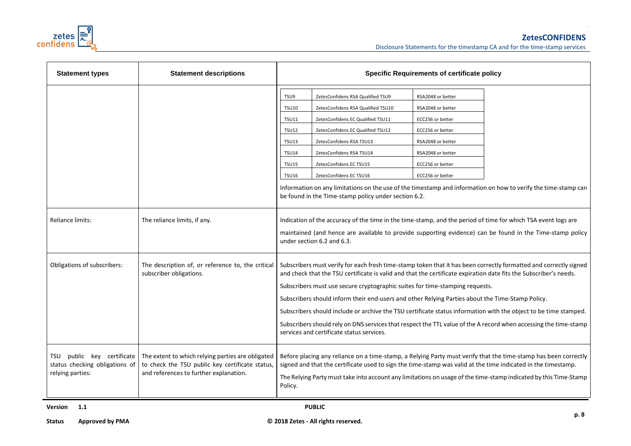

| <b>Statement types</b>                                                              | <b>Statement descriptions</b>                                                                                                                  | <b>Specific Requirements of certificate policy</b>                                                                                                                                                                                                                                                                                                                                                                                                                                                                                                                                                                                                                                                              |                                                                                                                                                                                                                                                                                                                         |                                                                                                                                                                  |                                                                                                                |
|-------------------------------------------------------------------------------------|------------------------------------------------------------------------------------------------------------------------------------------------|-----------------------------------------------------------------------------------------------------------------------------------------------------------------------------------------------------------------------------------------------------------------------------------------------------------------------------------------------------------------------------------------------------------------------------------------------------------------------------------------------------------------------------------------------------------------------------------------------------------------------------------------------------------------------------------------------------------------|-------------------------------------------------------------------------------------------------------------------------------------------------------------------------------------------------------------------------------------------------------------------------------------------------------------------------|------------------------------------------------------------------------------------------------------------------------------------------------------------------|----------------------------------------------------------------------------------------------------------------|
|                                                                                     |                                                                                                                                                | TSU9<br><b>TSU10</b><br><b>TSU11</b><br><b>TSU12</b><br><b>TSU13</b><br><b>TSU14</b><br><b>TSU15</b><br><b>TSU16</b>                                                                                                                                                                                                                                                                                                                                                                                                                                                                                                                                                                                            | ZetesConfidens RSA Qualified TSU9<br>ZetesConfidens RSA Qualified TSU10<br>ZetesConfidens EC Qualified TSU11<br>ZetesConfidens EC Qualified TSU12<br>ZetesConfidens RSA TSU13<br>ZetesConfidens RSA TSU14<br>ZetesConfidens EC TSU15<br>ZetesConfidens EC TSU16<br>be found in the Time-stamp policy under section 6.2. | RSA2048 or better<br>RSA2048 or better<br>ECC256 or better<br>ECC256 or better<br>RSA2048 or better<br>RSA2048 or better<br>ECC256 or better<br>ECC256 or better | Information on any limitations on the use of the timestamp and information on how to verify the time-stamp can |
| Reliance limits:                                                                    | The reliance limits, if any.                                                                                                                   | Indication of the accuracy of the time in the time-stamp, and the period of time for which TSA event logs are<br>maintained (and hence are available to provide supporting evidence) can be found in the Time-stamp policy<br>under section 6.2 and 6.3.                                                                                                                                                                                                                                                                                                                                                                                                                                                        |                                                                                                                                                                                                                                                                                                                         |                                                                                                                                                                  |                                                                                                                |
| Obligations of subscribers:                                                         | The description of, or reference to, the critical<br>subscriber obligations.                                                                   | Subscribers must verify for each fresh time-stamp token that it has been correctly formatted and correctly signed<br>and check that the TSU certificate is valid and that the certificate expiration date fits the Subscriber's needs.<br>Subscribers must use secure cryptographic suites for time-stamping requests.<br>Subscribers should inform their end-users and other Relying Parties about the Time-Stamp Policy.<br>Subscribers should include or archive the TSU certificate status information with the object to be time stamped.<br>Subscribers should rely on DNS services that respect the TTL value of the A record when accessing the time-stamp<br>services and certificate status services. |                                                                                                                                                                                                                                                                                                                         |                                                                                                                                                                  |                                                                                                                |
| public key certificate<br>TSU<br>status checking obligations of<br>relying parties: | The extent to which relying parties are obligated<br>to check the TSU public key certificate status,<br>and references to further explanation. | Before placing any reliance on a time-stamp, a Relying Party must verify that the time-stamp has been correctly<br>signed and that the certificate used to sign the time-stamp was valid at the time indicated in the timestamp.<br>The Relying Party must take into account any limitations on usage of the time-stamp indicated by this Time-Stamp<br>Policy.                                                                                                                                                                                                                                                                                                                                                 |                                                                                                                                                                                                                                                                                                                         |                                                                                                                                                                  |                                                                                                                |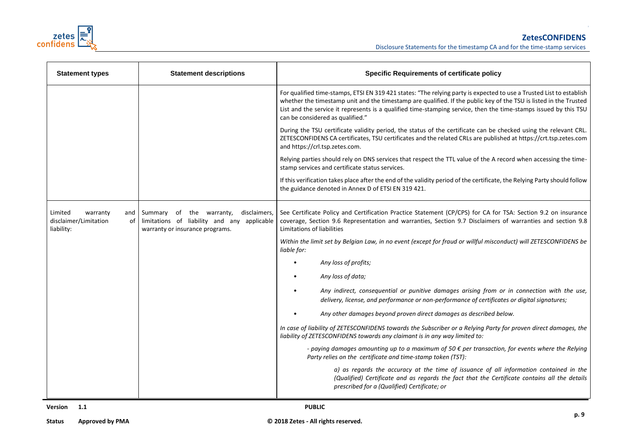

| <b>Statement types</b>                                                  | <b>Statement descriptions</b>                                                                                              | <b>Specific Requirements of certificate policy</b>                                                                                                                                                                                                                                                                                                                                                |  |
|-------------------------------------------------------------------------|----------------------------------------------------------------------------------------------------------------------------|---------------------------------------------------------------------------------------------------------------------------------------------------------------------------------------------------------------------------------------------------------------------------------------------------------------------------------------------------------------------------------------------------|--|
|                                                                         |                                                                                                                            | For qualified time-stamps, ETSI EN 319 421 states: "The relying party is expected to use a Trusted List to establish<br>whether the timestamp unit and the timestamp are qualified. If the public key of the TSU is listed in the Trusted<br>List and the service it represents is a qualified time-stamping service, then the time-stamps issued by this TSU<br>can be considered as qualified." |  |
|                                                                         |                                                                                                                            | During the TSU certificate validity period, the status of the certificate can be checked using the relevant CRL.<br>ZETESCONFIDENS CA certificates, TSU certificates and the related CRLs are published at https://crt.tsp.zetes.com<br>and https://crl.tsp.zetes.com.                                                                                                                            |  |
|                                                                         |                                                                                                                            | Relying parties should rely on DNS services that respect the TTL value of the A record when accessing the time-<br>stamp services and certificate status services.                                                                                                                                                                                                                                |  |
|                                                                         |                                                                                                                            | If this verification takes place after the end of the validity period of the certificate, the Relying Party should follow<br>the guidance denoted in Annex D of ETSI EN 319 421.                                                                                                                                                                                                                  |  |
| Limited<br>warranty<br>and<br>disclaimer/Limitation<br>of<br>liability: | Summary of the warranty,<br>disclaimers,<br>limitations of liability and any applicable<br>warranty or insurance programs. | See Certificate Policy and Certification Practice Statement (CP/CPS) for CA for TSA: Section 9.2 on insurance<br>coverage, Section 9.6 Representation and warranties, Section 9.7 Disclaimers of warranties and section 9.8<br>Limitations of liabilities                                                                                                                                         |  |
|                                                                         |                                                                                                                            | Within the limit set by Belgian Law, in no event (except for fraud or willful misconduct) will ZETESCONFIDENS be<br>liable for:                                                                                                                                                                                                                                                                   |  |
|                                                                         |                                                                                                                            | Any loss of profits;                                                                                                                                                                                                                                                                                                                                                                              |  |
|                                                                         |                                                                                                                            | Any loss of data;                                                                                                                                                                                                                                                                                                                                                                                 |  |
|                                                                         |                                                                                                                            | Any indirect, consequential or punitive damages arising from or in connection with the use,<br>delivery, license, and performance or non-performance of certificates or digital signatures;                                                                                                                                                                                                       |  |
|                                                                         |                                                                                                                            | Any other damages beyond proven direct damages as described below.                                                                                                                                                                                                                                                                                                                                |  |
|                                                                         |                                                                                                                            | In case of liability of ZETESCONFIDENS towards the Subscriber or a Relying Party for proven direct damages, the<br>liability of ZETESCONFIDENS towards any claimant is in any way limited to:                                                                                                                                                                                                     |  |
|                                                                         |                                                                                                                            | - paying damages amounting up to a maximum of 50 $\epsilon$ per transaction, for events where the Relying<br>Party relies on the certificate and time-stamp token (TST):                                                                                                                                                                                                                          |  |
|                                                                         |                                                                                                                            | a) as regards the accuracy at the time of issuance of all information contained in the<br>(Qualified) Certificate and as regards the fact that the Certificate contains all the details<br>prescribed for a (Qualified) Certificate; or                                                                                                                                                           |  |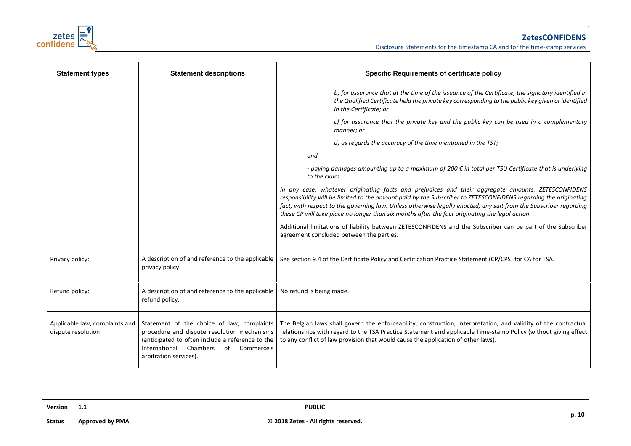

| <b>Statement types</b>                                | <b>Statement descriptions</b>                                                                                                                                                                                         | <b>Specific Requirements of certificate policy</b>                                                                                                                                                                                                                                                                                                                                                                                            |  |
|-------------------------------------------------------|-----------------------------------------------------------------------------------------------------------------------------------------------------------------------------------------------------------------------|-----------------------------------------------------------------------------------------------------------------------------------------------------------------------------------------------------------------------------------------------------------------------------------------------------------------------------------------------------------------------------------------------------------------------------------------------|--|
|                                                       |                                                                                                                                                                                                                       | b) for assurance that at the time of the issuance of the Certificate, the signatory identified in<br>the Qualified Certificate held the private key corresponding to the public key given or identified<br>in the Certificate; or                                                                                                                                                                                                             |  |
|                                                       |                                                                                                                                                                                                                       | c) for assurance that the private key and the public key can be used in a complementary<br>manner; or                                                                                                                                                                                                                                                                                                                                         |  |
|                                                       |                                                                                                                                                                                                                       | d) as regards the accuracy of the time mentioned in the TST;                                                                                                                                                                                                                                                                                                                                                                                  |  |
|                                                       |                                                                                                                                                                                                                       | and                                                                                                                                                                                                                                                                                                                                                                                                                                           |  |
|                                                       |                                                                                                                                                                                                                       | - paying damages amounting up to a maximum of 200 $\epsilon$ in total per TSU Certificate that is underlying<br>to the claim.                                                                                                                                                                                                                                                                                                                 |  |
|                                                       |                                                                                                                                                                                                                       | In any case, whatever originating facts and prejudices and their aggregate amounts, ZETESCONFIDENS<br>responsibility will be limited to the amount paid by the Subscriber to ZETESCONFIDENS regarding the originating<br>fact, with respect to the governing law. Unless otherwise legally enacted, any suit from the Subscriber regarding<br>these CP will take place no longer than six months after the fact originating the legal action. |  |
|                                                       |                                                                                                                                                                                                                       | Additional limitations of liability between ZETESCONFIDENS and the Subscriber can be part of the Subscriber<br>agreement concluded between the parties.                                                                                                                                                                                                                                                                                       |  |
| Privacy policy:                                       | A description of and reference to the applicable<br>privacy policy.                                                                                                                                                   | See section 9.4 of the Certificate Policy and Certification Practice Statement (CP/CPS) for CA for TSA.                                                                                                                                                                                                                                                                                                                                       |  |
| Refund policy:                                        | A description of and reference to the applicable<br>refund policy.                                                                                                                                                    | No refund is being made.                                                                                                                                                                                                                                                                                                                                                                                                                      |  |
| Applicable law, complaints and<br>dispute resolution: | Statement of the choice of law, complaints<br>procedure and dispute resolution mechanisms<br>(anticipated to often include a reference to the<br>International Chambers<br>of<br>Commerce's<br>arbitration services). | The Belgian laws shall govern the enforceability, construction, interpretation, and validity of the contractual<br>relationships with regard to the TSA Practice Statement and applicable Time-stamp Policy (without giving effect<br>to any conflict of law provision that would cause the application of other laws).                                                                                                                       |  |